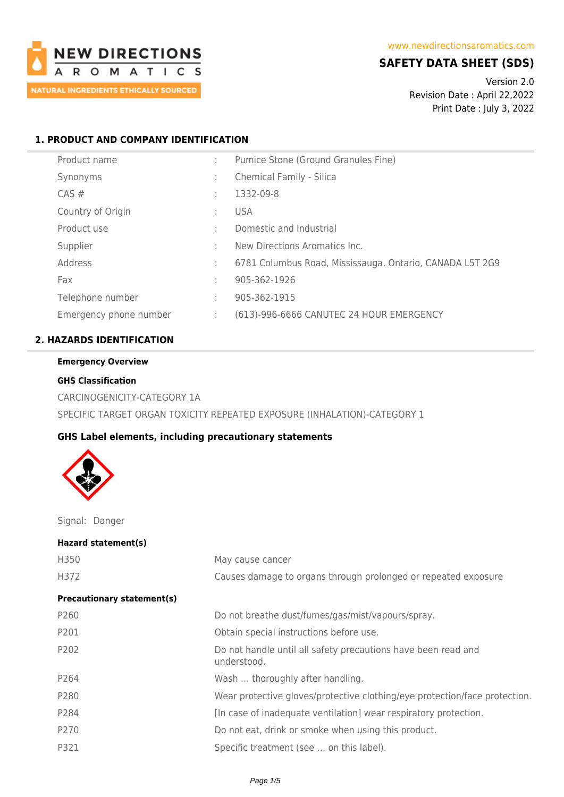

# **SAFETY DATA SHEET (SDS)**

Version 2.0 Revision Date : April 22,2022 Print Date : July 3, 2022

# **1. PRODUCT AND COMPANY IDENTIFICATION**

| Product name           |   | Pumice Stone (Ground Granules Fine)                      |
|------------------------|---|----------------------------------------------------------|
| Synonyms               | ÷ | Chemical Family - Silica                                 |
| CAS#                   | ÷ | 1332-09-8                                                |
| Country of Origin      |   | <b>USA</b>                                               |
| Product use            |   | Domestic and Industrial                                  |
| Supplier               |   | New Directions Aromatics Inc.                            |
| Address                | ÷ | 6781 Columbus Road, Mississauga, Ontario, CANADA L5T 2G9 |
| Fax                    |   | 905-362-1926                                             |
| Telephone number       |   | 905-362-1915                                             |
| Emergency phone number | ÷ | (613)-996-6666 CANUTEC 24 HOUR EMERGENCY                 |
|                        |   |                                                          |

# **2. HAZARDS IDENTIFICATION**

# **Emergency Overview**

### **GHS Classification**

CARCINOGENICITY-CATEGORY 1A SPECIFIC TARGET ORGAN TOXICITY REPEATED EXPOSURE (INHALATION)-CATEGORY 1

### **GHS Label elements, including precautionary statements**



Signal: Danger

| Hazard statement(s)               |                                                                              |
|-----------------------------------|------------------------------------------------------------------------------|
| H350                              | May cause cancer                                                             |
| H372                              | Causes damage to organs through prolonged or repeated exposure               |
| <b>Precautionary statement(s)</b> |                                                                              |
| P <sub>260</sub>                  | Do not breathe dust/fumes/gas/mist/vapours/spray.                            |
| P201                              | Obtain special instructions before use.                                      |
| P <sub>202</sub>                  | Do not handle until all safety precautions have been read and<br>understood. |
| P264                              | Wash  thoroughly after handling.                                             |
| P280                              | Wear protective gloves/protective clothing/eye protection/face protection.   |
| P284                              | [In case of inadequate ventilation] wear respiratory protection.             |
| P270                              | Do not eat, drink or smoke when using this product.                          |
| P321                              | Specific treatment (see  on this label).                                     |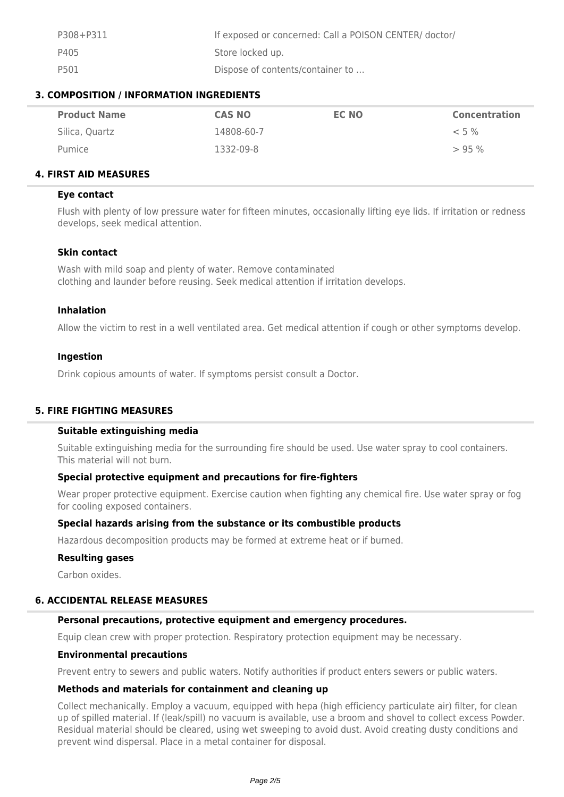| P308+P311 | If exposed or concerned: Call a POISON CENTER/ doctor/ |
|-----------|--------------------------------------------------------|
| P405      | Store locked up.                                       |
| P501      | Dispose of contents/container to                       |

### **3. COMPOSITION / INFORMATION INGREDIENTS**

| <b>Product Name</b> | <b>CAS NO</b> | EC NO | <b>Concentration</b> |
|---------------------|---------------|-------|----------------------|
| Silica, Quartz      | 14808-60-7    |       | $< 5 \%$             |
| Pumice              | 1332-09-8     |       | $> 95\%$             |

### **4. FIRST AID MEASURES**

### **Eye contact**

Flush with plenty of low pressure water for fifteen minutes, occasionally lifting eye lids. If irritation or redness develops, seek medical attention.

### **Skin contact**

Wash with mild soap and plenty of water. Remove contaminated clothing and launder before reusing. Seek medical attention if irritation develops.

### **Inhalation**

Allow the victim to rest in a well ventilated area. Get medical attention if cough or other symptoms develop.

### **Ingestion**

Drink copious amounts of water. If symptoms persist consult a Doctor.

### **5. FIRE FIGHTING MEASURES**

# **Suitable extinguishing media**

Suitable extinguishing media for the surrounding fire should be used. Use water spray to cool containers. This material will not burn.

### **Special protective equipment and precautions for fire-fighters**

Wear proper protective equipment. Exercise caution when fighting any chemical fire. Use water spray or fog for cooling exposed containers.

### **Special hazards arising from the substance or its combustible products**

Hazardous decomposition products may be formed at extreme heat or if burned.

### **Resulting gases**

Carbon oxides.

### **6. ACCIDENTAL RELEASE MEASURES**

### **Personal precautions, protective equipment and emergency procedures.**

Equip clean crew with proper protection. Respiratory protection equipment may be necessary.

### **Environmental precautions**

Prevent entry to sewers and public waters. Notify authorities if product enters sewers or public waters.

### **Methods and materials for containment and cleaning up**

Collect mechanically. Employ a vacuum, equipped with hepa (high efficiency particulate air) filter, for clean up of spilled material. If (leak/spill) no vacuum is available, use a broom and shovel to collect excess Powder. Residual material should be cleared, using wet sweeping to avoid dust. Avoid creating dusty conditions and prevent wind dispersal. Place in a metal container for disposal.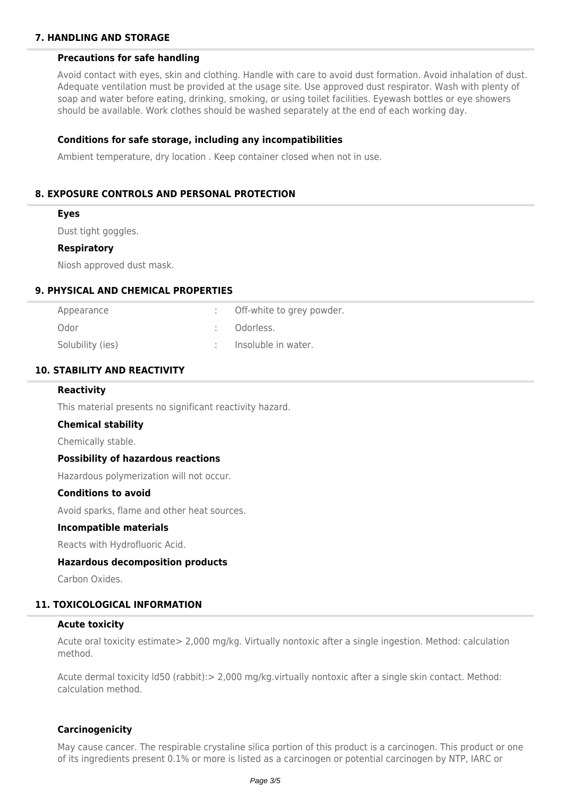# **7. HANDLING AND STORAGE**

### **Precautions for safe handling**

Avoid contact with eyes, skin and clothing. Handle with care to avoid dust formation. Avoid inhalation of dust. Adequate ventilation must be provided at the usage site. Use approved dust respirator. Wash with plenty of soap and water before eating, drinking, smoking, or using toilet facilities. Eyewash bottles or eye showers should be available. Work clothes should be washed separately at the end of each working day.

### **Conditions for safe storage, including any incompatibilities**

Ambient temperature, dry location . Keep container closed when not in use.

### **8. EXPOSURE CONTROLS AND PERSONAL PROTECTION**

#### **Eyes**

Dust tight goggles.

#### **Respiratory**

Niosh approved dust mask.

#### **9. PHYSICAL AND CHEMICAL PROPERTIES**

| Appearance       | Off-white to grey powder. |
|------------------|---------------------------|
| Odor             | : Odorless.               |
| Solubility (ies) | Insoluble in water.       |

### **10. STABILITY AND REACTIVITY**

#### **Reactivity**

This material presents no significant reactivity hazard.

#### **Chemical stability**

Chemically stable.

#### **Possibility of hazardous reactions**

Hazardous polymerization will not occur.

### **Conditions to avoid**

Avoid sparks, flame and other heat sources.

#### **Incompatible materials**

Reacts with Hydrofluoric Acid.

#### **Hazardous decomposition products**

Carbon Oxides.

### **11. TOXICOLOGICAL INFORMATION**

#### **Acute toxicity**

Acute oral toxicity estimate> 2,000 mg/kg. Virtually nontoxic after a single ingestion. Method: calculation method.

Acute dermal toxicity ld50 (rabbit):> 2,000 mg/kg.virtually nontoxic after a single skin contact. Method: calculation method.

#### **Carcinogenicity**

May cause cancer. The respirable crystaline silica portion of this product is a carcinogen. This product or one of its ingredients present 0.1% or more is listed as a carcinogen or potential carcinogen by NTP, IARC or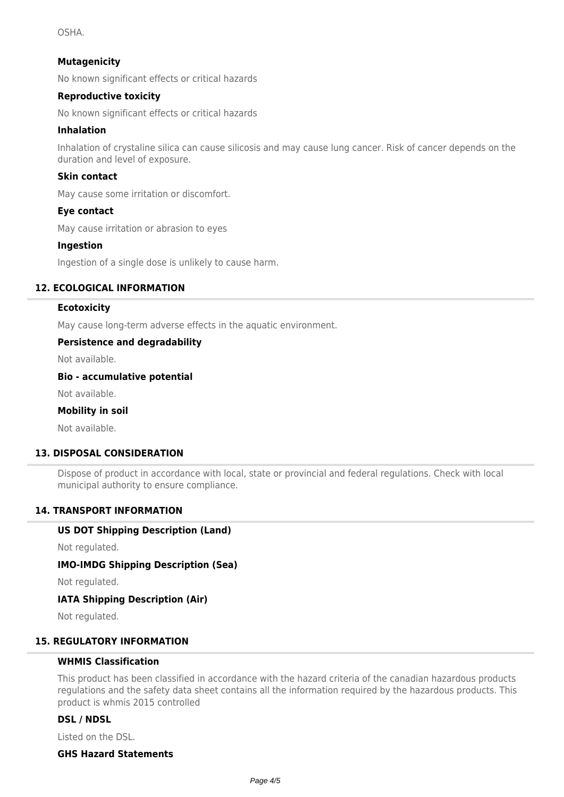OSHA.

### **Mutagenicity**

No known significant effects or critical hazards

### **Reproductive toxicity**

No known significant effects or critical hazards

### **Inhalation**

Inhalation of crystaline silica can cause silicosis and may cause lung cancer. Risk of cancer depends on the duration and level of exposure.

### **Skin contact**

May cause some irritation or discomfort.

### **Eye contact**

May cause irritation or abrasion to eyes

### **Ingestion**

Ingestion of a single dose is unlikely to cause harm.

### **12. ECOLOGICAL INFORMATION**

### **Ecotoxicity**

May cause long-term adverse effects in the aquatic environment.

### **Persistence and degradability**

Not available.

#### **Bio - accumulative potential**

Not available.

### **Mobility in soil**

Not available.

### **13. DISPOSAL CONSIDERATION**

Dispose of product in accordance with local, state or provincial and federal regulations. Check with local municipal authority to ensure compliance.

### **14. TRANSPORT INFORMATION**

### **US DOT Shipping Description (Land)**

Not regulated.

### **IMO-IMDG Shipping Description (Sea)**

Not regulated.

# **IATA Shipping Description (Air)**

Not regulated.

### **15. REGULATORY INFORMATION**

### **WHMIS Classification**

This product has been classified in accordance with the hazard criteria of the canadian hazardous products regulations and the safety data sheet contains all the information required by the hazardous products. This product is whmis 2015 controlled

### **DSL / NDSL**

Listed on the DSL.

# **GHS Hazard Statements**